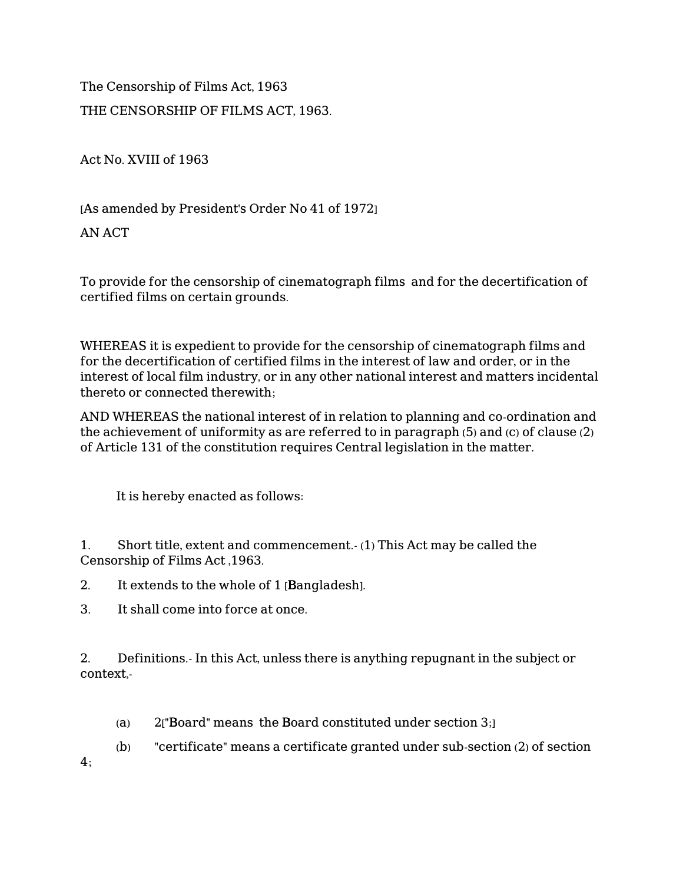The Censorship of Films Act, 1963 THE CENSORSHIP OF FILMS ACT, 1963.

Act No. XVIII of 1963

[As amended by President's Order No 41 of 1972]

AN ACT

To provide for the censorship of cinematograph films and for the decertification of certified films on certain grounds.

WHEREAS it is expedient to provide for the censorship of cinematograph films and for the decertification of certified films in the interest of law and order, or in the interest of local film industry, or in any other national interest and matters incidental thereto or connected therewith;

AND WHEREAS the national interest of in relation to planning and co-ordination and the achievement of uniformity as are referred to in paragraph (5) and (c) of clause (2) of Article 131 of the constitution requires Central legislation in the matter.

It is hereby enacted as follows:

1. Short title, extent and commencement.- (1) This Act may be called the Censorship of Films Act ,1963.

2. It extends to the whole of 1 [Bangladesh].

3. It shall come into force at once.

2. Definitions.- In this Act, unless there is anything repugnant in the subject or context,-

- (a) 2["Board" means the Board constituted under section 3;]
- (b) "certificate" means a certificate granted under sub-section (2) of section

4;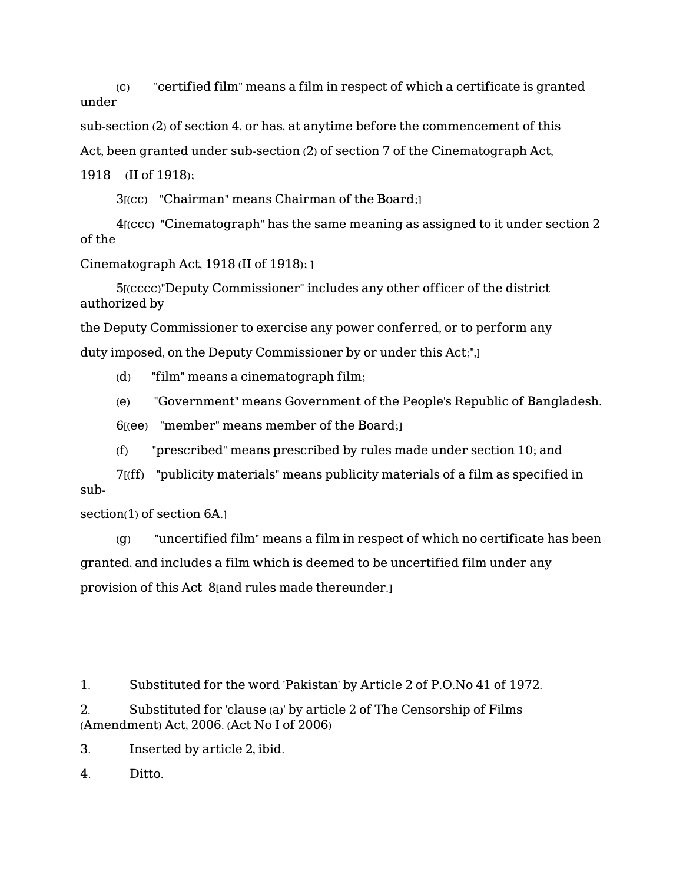(c) "certified film" means a film in respect of which a certificate is granted under

sub-section (2) of section 4, or has, at anytime before the commencement of this

Act, been granted under sub-section (2) of section 7 of the Cinematograph Act,

1918 (II of 1918);

3[(cc) "Chairman" means Chairman of the Board;]

 4[(ccc) "Cinematograph" has the same meaning as assigned to it under section 2 of the

Cinematograph Act, 1918 (II of 1918); ]

 5[(cccc)"Deputy Commissioner" includes any other officer of the district authorized by

the Deputy Commissioner to exercise any power conferred, or to perform any duty imposed, on the Deputy Commissioner by or under this Act;",]

(d) "film" means a cinematograph film;

(e) "Government" means Government of the People's Republic of Bangladesh.

 $6$ [(ee) "member" means member of the Board;

(f) "prescribed" means prescribed by rules made under section 10; and

 7[(ff) "publicity materials" means publicity materials of a film as specified in sub-

section(1) of section 6A.

 (g) "uncertified film" means a film in respect of which no certificate has been granted, and includes a film which is deemed to be uncertified film under any provision of this Act 8[and rules made thereunder.]

1. Substituted for the word 'Pakistan' by Article 2 of P.O.No 41 of 1972.

2. Substituted for 'clause (a)' by article 2 of The Censorship of Films (Amendment) Act, 2006. (Act No I of 2006)

3. Inserted by article 2, ibid.

4. Ditto.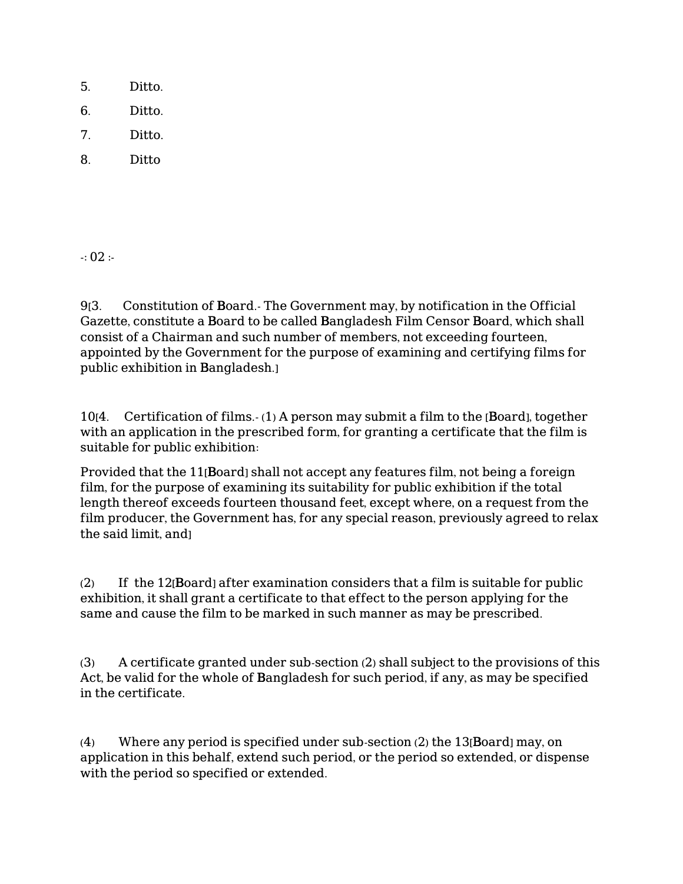- 5. Ditto.
- 6. Ditto.
- 7. Ditto.
- 8. Ditto

 $-0.02$  :

9[3. Constitution of Board.- The Government may, by notification in the Official Gazette, constitute a Board to be called Bangladesh Film Censor Board, which shall consist of a Chairman and such number of members, not exceeding fourteen, appointed by the Government for the purpose of examining and certifying films for public exhibition in Bangladesh.]

10[4. Certification of films.- (1) A person may submit a film to the [Board], together with an application in the prescribed form, for granting a certificate that the film is suitable for public exhibition:

Provided that the 11[Board] shall not accept any features film, not being a foreign film, for the purpose of examining its suitability for public exhibition if the total length thereof exceeds fourteen thousand feet, except where, on a request from the film producer, the Government has, for any special reason, previously agreed to relax the said limit, and]

(2) If the 12[Board] after examination considers that a film is suitable for public exhibition, it shall grant a certificate to that effect to the person applying for the same and cause the film to be marked in such manner as may be prescribed.

(3) A certificate granted under sub-section (2) shall subject to the provisions of this Act, be valid for the whole of Bangladesh for such period, if any, as may be specified in the certificate.

(4) Where any period is specified under sub-section (2) the 13[Board] may, on application in this behalf, extend such period, or the period so extended, or dispense with the period so specified or extended.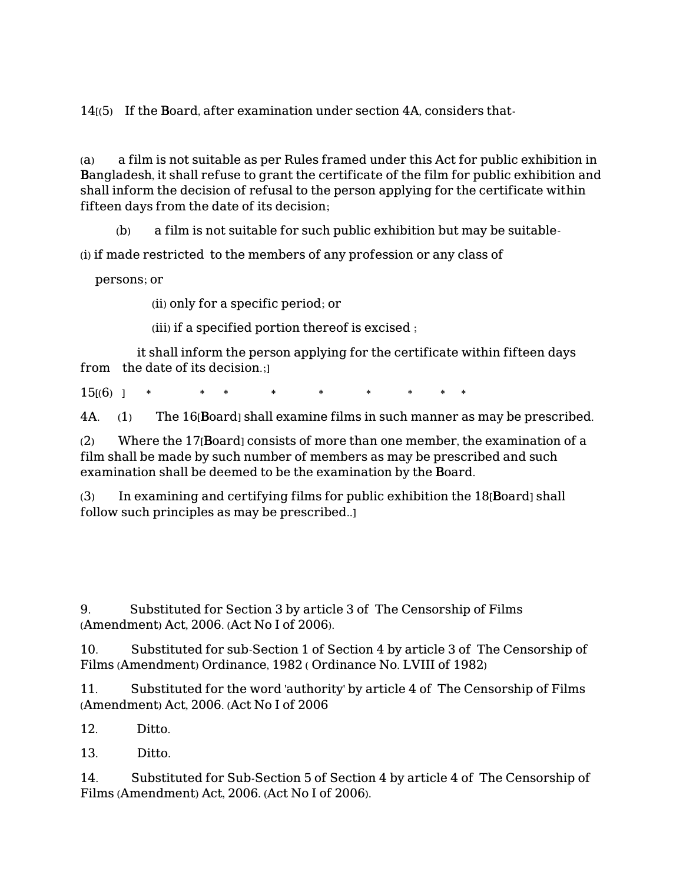14[(5) If the Board, after examination under section 4A, considers that-

(a) a film is not suitable as per Rules framed under this Act for public exhibition in Bangladesh, it shall refuse to grant the certificate of the film for public exhibition and shall inform the decision of refusal to the person applying for the certificate within fifteen days from the date of its decision;

(b) a film is not suitable for such public exhibition but may be suitable-

(i) if made restricted to the members of any profession or any class of

persons; or

(ii) only for a specific period; or

(iii) if a specified portion thereof is excised ;

 it shall inform the person applying for the certificate within fifteen days from the date of its decision.;]

 $15(6)$  ] \* \* \* \* \* \*

4A. (1) The 16[Board] shall examine films in such manner as may be prescribed.

(2) Where the 17[Board] consists of more than one member, the examination of a film shall be made by such number of members as may be prescribed and such examination shall be deemed to be the examination by the Board.

(3) In examining and certifying films for public exhibition the 18[Board] shall follow such principles as may be prescribed..]

9. Substituted for Section 3 by article 3 of The Censorship of Films (Amendment) Act, 2006. (Act No I of 2006).

10. Substituted for sub-Section 1 of Section 4 by article 3 of The Censorship of Films (Amendment) Ordinance, 1982 ( Ordinance No. LVIII of 1982)

11. Substituted for the word 'authority' by article 4 of The Censorship of Films (Amendment) Act, 2006. (Act No I of 2006

12. Ditto.

13. Ditto.

14. Substituted for Sub-Section 5 of Section 4 by article 4 of The Censorship of Films (Amendment) Act, 2006. (Act No I of 2006).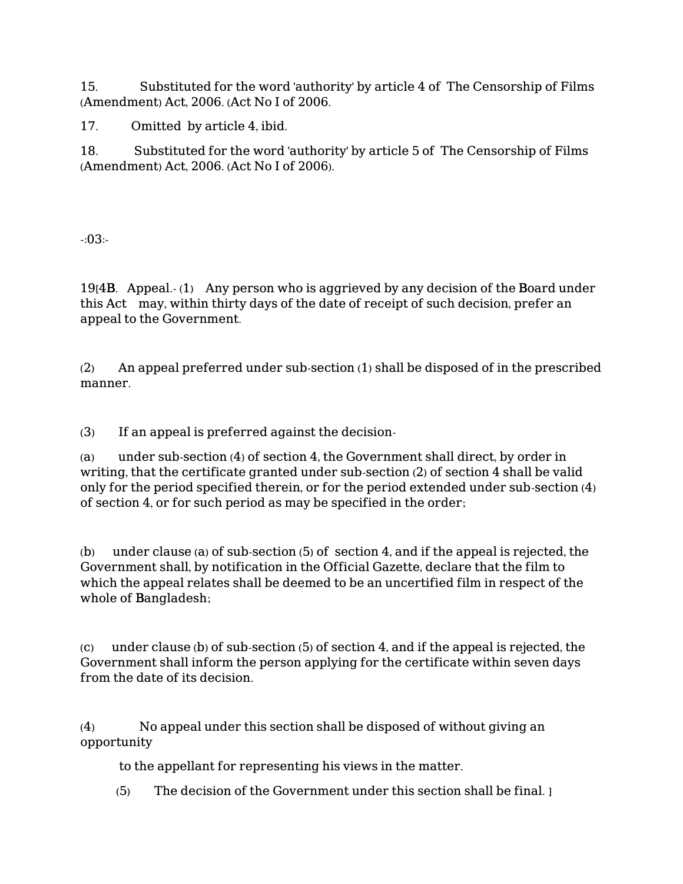15. Substituted for the word 'authority' by article 4 of The Censorship of Films (Amendment) Act, 2006. (Act No I of 2006.

17. Omitted by article 4, ibid.

18. Substituted for the word 'authority' by article 5 of The Censorship of Films (Amendment) Act, 2006. (Act No I of 2006).

-:03:-

19[4B. Appeal.- (1) Any person who is aggrieved by any decision of the Board under this Act may, within thirty days of the date of receipt of such decision, prefer an appeal to the Government.

(2) An appeal preferred under sub-section (1) shall be disposed of in the prescribed manner.

(3) If an appeal is preferred against the decision-

(a) under sub-section (4) of section 4, the Government shall direct, by order in writing, that the certificate granted under sub-section (2) of section 4 shall be valid only for the period specified therein, or for the period extended under sub-section (4) of section 4, or for such period as may be specified in the order;

(b) under clause (a) of sub-section (5) of section 4, and if the appeal is rejected, the Government shall, by notification in the Official Gazette, declare that the film to which the appeal relates shall be deemed to be an uncertified film in respect of the whole of Bangladesh;

(c) under clause (b) of sub-section (5) of section 4, and if the appeal is rejected, the Government shall inform the person applying for the certificate within seven days from the date of its decision.

(4) No appeal under this section shall be disposed of without giving an opportunity

to the appellant for representing his views in the matter.

(5) The decision of the Government under this section shall be final. ]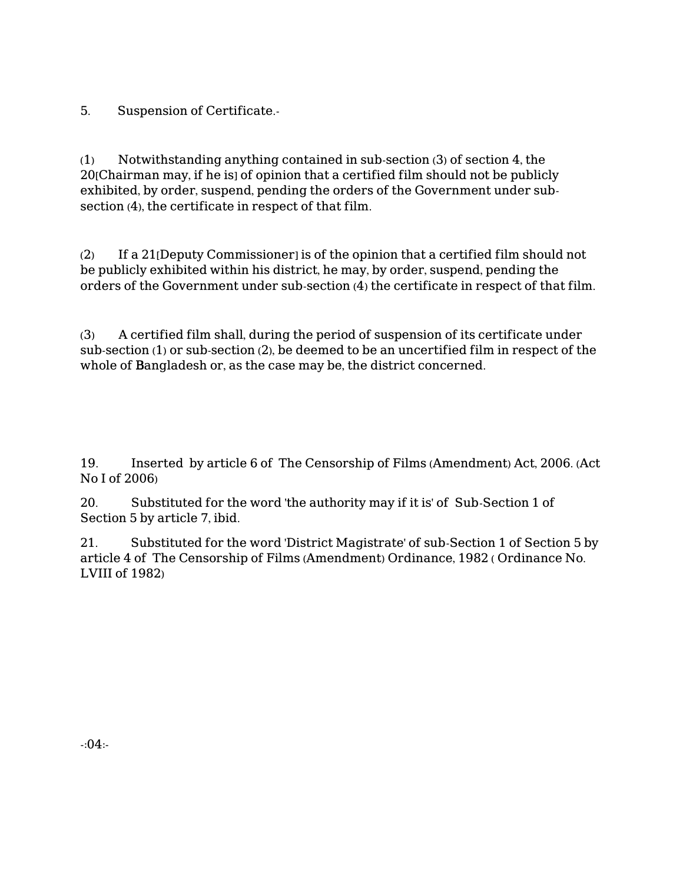5. Suspension of Certificate.-

(1) Notwithstanding anything contained in sub-section (3) of section 4, the 20[Chairman may, if he is] of opinion that a certified film should not be publicly exhibited, by order, suspend, pending the orders of the Government under subsection (4), the certificate in respect of that film.

(2) If a 21[Deputy Commissioner] is of the opinion that a certified film should not be publicly exhibited within his district, he may, by order, suspend, pending the orders of the Government under sub-section (4) the certificate in respect of that film.

(3) A certified film shall, during the period of suspension of its certificate under sub-section (1) or sub-section (2), be deemed to be an uncertified film in respect of the whole of Bangladesh or, as the case may be, the district concerned.

19. Inserted by article 6 of The Censorship of Films (Amendment) Act, 2006. (Act No I of 2006)

20. Substituted for the word 'the authority may if it is' of Sub-Section 1 of Section 5 by article 7, ibid.

21. Substituted for the word 'District Magistrate' of sub-Section 1 of Section 5 by article 4 of The Censorship of Films (Amendment) Ordinance, 1982 ( Ordinance No. LVIII of 1982)

 $-0.04$ :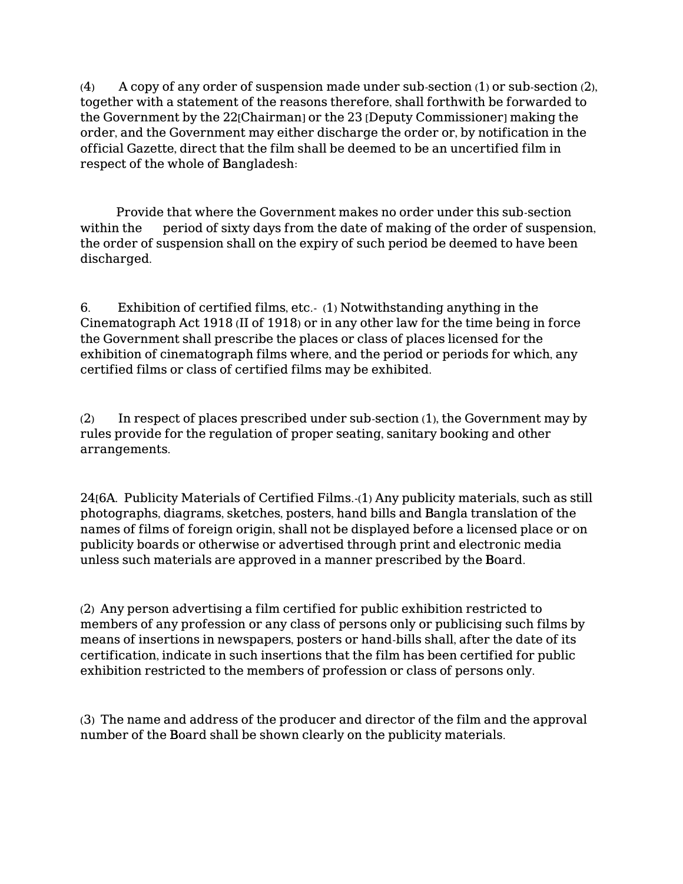(4) A copy of any order of suspension made under sub-section (1) or sub-section (2), together with a statement of the reasons therefore, shall forthwith be forwarded to the Government by the 22<sup>[Chairman]</sup> or the 23 [Deputy Commissioner] making the order, and the Government may either discharge the order or, by notification in the official Gazette, direct that the film shall be deemed to be an uncertified film in respect of the whole of Bangladesh:

 Provide that where the Government makes no order under this sub-section within the period of sixty days from the date of making of the order of suspension, the order of suspension shall on the expiry of such period be deemed to have been discharged.

6. Exhibition of certified films, etc.- (1) Notwithstanding anything in the Cinematograph Act 1918 (II of 1918) or in any other law for the time being in force the Government shall prescribe the places or class of places licensed for the exhibition of cinematograph films where, and the period or periods for which, any certified films or class of certified films may be exhibited.

(2) In respect of places prescribed under sub-section (1), the Government may by rules provide for the regulation of proper seating, sanitary booking and other arrangements.

24[6A. Publicity Materials of Certified Films.-(1) Any publicity materials, such as still photographs, diagrams, sketches, posters, hand bills and Bangla translation of the names of films of foreign origin, shall not be displayed before a licensed place or on publicity boards or otherwise or advertised through print and electronic media unless such materials are approved in a manner prescribed by the Board.

(2) Any person advertising a film certified for public exhibition restricted to members of any profession or any class of persons only or publicising such films by means of insertions in newspapers, posters or hand-bills shall, after the date of its certification, indicate in such insertions that the film has been certified for public exhibition restricted to the members of profession or class of persons only.

(3) The name and address of the producer and director of the film and the approval number of the Board shall be shown clearly on the publicity materials.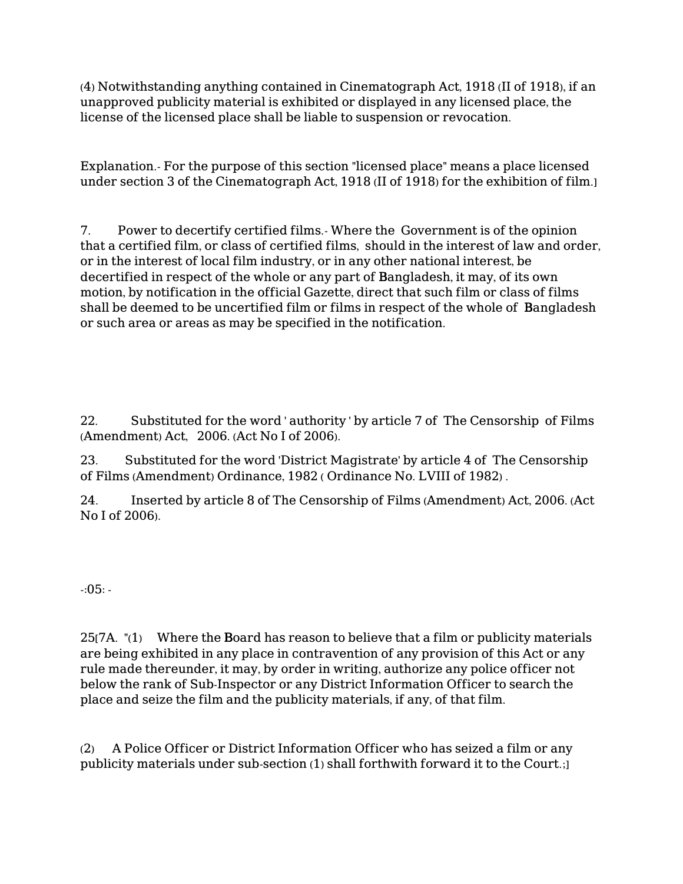(4) Notwithstanding anything contained in Cinematograph Act, 1918 (II of 1918), if an unapproved publicity material is exhibited or displayed in any licensed place, the license of the licensed place shall be liable to suspension or revocation.

Explanation.- For the purpose of this section "licensed place" means a place licensed under section 3 of the Cinematograph Act, 1918 (II of 1918) for the exhibition of film.]

7. Power to decertify certified films.- Where the Government is of the opinion that a certified film, or class of certified films, should in the interest of law and order, or in the interest of local film industry, or in any other national interest, be decertified in respect of the whole or any part of Bangladesh, it may, of its own motion, by notification in the official Gazette, direct that such film or class of films shall be deemed to be uncertified film or films in respect of the whole of Bangladesh or such area or areas as may be specified in the notification.

22. Substituted for the word ' authority ' by article 7 of The Censorship of Films (Amendment) Act, 2006. (Act No I of 2006).

23. Substituted for the word 'District Magistrate' by article 4 of The Censorship of Films (Amendment) Ordinance, 1982 ( Ordinance No. LVIII of 1982) .

24. Inserted by article 8 of The Censorship of Films (Amendment) Act, 2006. (Act No I of 2006).

-:05: -

25[7A. "(1) Where the Board has reason to believe that a film or publicity materials are being exhibited in any place in contravention of any provision of this Act or any rule made thereunder, it may, by order in writing, authorize any police officer not below the rank of Sub-Inspector or any District Information Officer to search the place and seize the film and the publicity materials, if any, of that film.

(2) A Police Officer or District Information Officer who has seized a film or any publicity materials under sub-section (1) shall forthwith forward it to the Court.;]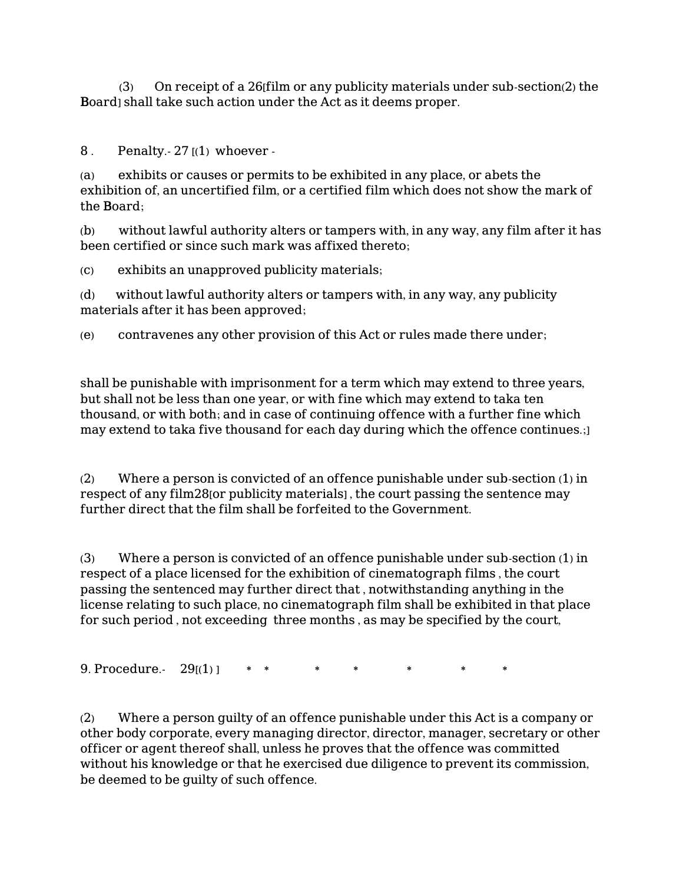(3) On receipt of a 26[film or any publicity materials under sub-section(2) the Board] shall take such action under the Act as it deems proper.

8 . Penalty. $-27(1)$  whoever -

(a) exhibits or causes or permits to be exhibited in any place, or abets the exhibition of, an uncertified film, or a certified film which does not show the mark of the Board;

(b) without lawful authority alters or tampers with, in any way, any film after it has been certified or since such mark was affixed thereto;

(c) exhibits an unapproved publicity materials;

(d) without lawful authority alters or tampers with, in any way, any publicity materials after it has been approved;

(e) contravenes any other provision of this Act or rules made there under;

shall be punishable with imprisonment for a term which may extend to three years, but shall not be less than one year, or with fine which may extend to taka ten thousand, or with both; and in case of continuing offence with a further fine which may extend to taka five thousand for each day during which the offence continues.;]

(2) Where a person is convicted of an offence punishable under sub-section (1) in respect of any film28[or publicity materials] , the court passing the sentence may further direct that the film shall be forfeited to the Government.

(3) Where a person is convicted of an offence punishable under sub-section (1) in respect of a place licensed for the exhibition of cinematograph films , the court passing the sentenced may further direct that , notwithstanding anything in the license relating to such place, no cinematograph film shall be exhibited in that place for such period , not exceeding three months , as may be specified by the court,

9. Procedure.  $29(1)$  \* \*

(2) Where a person guilty of an offence punishable under this Act is a company or other body corporate, every managing director, director, manager, secretary or other officer or agent thereof shall, unless he proves that the offence was committed without his knowledge or that he exercised due diligence to prevent its commission, be deemed to be guilty of such offence.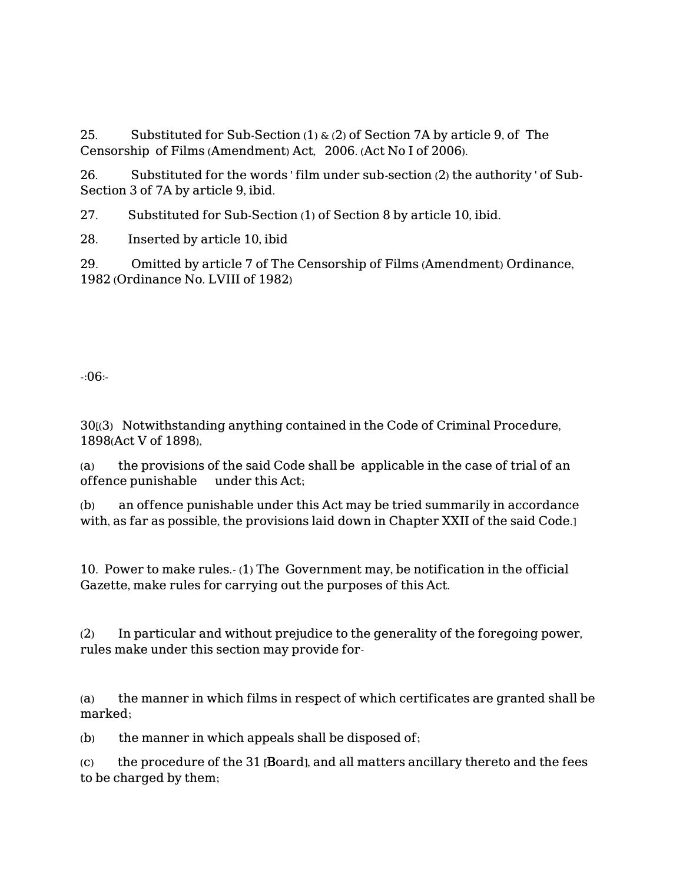25. Substituted for Sub-Section  $(1)$  &  $(2)$  of Section 7A by article 9, of The Censorship of Films (Amendment) Act, 2006. (Act No I of 2006).

26. Substituted for the words ' film under sub-section (2) the authority ' of Sub-Section 3 of 7A by article 9, ibid.

27. Substituted for Sub-Section (1) of Section 8 by article 10, ibid.

28. Inserted by article 10, ibid

29. Omitted by article 7 of The Censorship of Films (Amendment) Ordinance, 1982 (Ordinance No. LVIII of 1982)

-:06:-

30[(3) Notwithstanding anything contained in the Code of Criminal Procedure, 1898(Act V of 1898),

(a) the provisions of the said Code shall be applicable in the case of trial of an offence punishable under this Act;

(b) an offence punishable under this Act may be tried summarily in accordance with, as far as possible, the provisions laid down in Chapter XXII of the said Code.]

10. Power to make rules.- (1) The Government may, be notification in the official Gazette, make rules for carrying out the purposes of this Act.

(2) In particular and without prejudice to the generality of the foregoing power, rules make under this section may provide for-

(a) the manner in which films in respect of which certificates are granted shall be marked;

(b) the manner in which appeals shall be disposed of;

(c) the procedure of the 31 [Board], and all matters ancillary thereto and the fees to be charged by them;